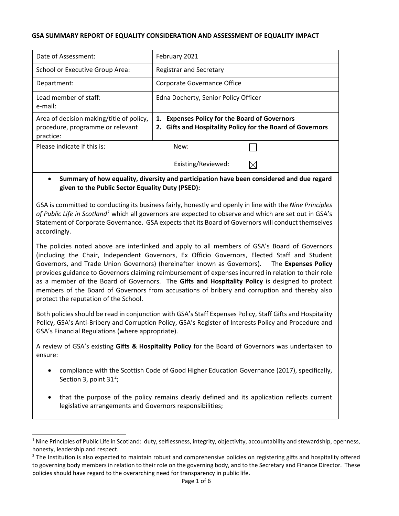#### **GSA SUMMARY REPORT OF EQUALITY CONSIDERATION AND ASSESSMENT OF EQUALITY IMPACT**

| Date of Assessment:                                                                       | February 2021                                                 |                                                                |
|-------------------------------------------------------------------------------------------|---------------------------------------------------------------|----------------------------------------------------------------|
| School or Executive Group Area:                                                           | <b>Registrar and Secretary</b>                                |                                                                |
| Department:                                                                               | Corporate Governance Office                                   |                                                                |
| Lead member of staff:<br>e-mail:                                                          | Edna Docherty, Senior Policy Officer                          |                                                                |
| Area of decision making/title of policy,<br>procedure, programme or relevant<br>practice: | <b>Expenses Policy for the Board of Governors</b><br>1.<br>2. | <b>Gifts and Hospitality Policy for the Board of Governors</b> |
| Please indicate if this is:                                                               | New:                                                          |                                                                |
|                                                                                           | Existing/Reviewed:                                            |                                                                |

# • **Summary of how equality, diversity and participation have been considered and due regard given to the Public Sector Equality Duty (PSED):**

GSA is committed to conducting its business fairly, honestly and openly in line with the *Nine Principles of Public Life in Scotland[1](#page-0-0)* which all governors are expected to observe and which are set out in GSA's Statement of Corporate Governance. GSA expects that its Board of Governors will conduct themselves accordingly.

The policies noted above are interlinked and apply to all members of GSA's Board of Governors (including the Chair, Independent Governors, Ex Officio Governors, Elected Staff and Student Governors, and Trade Union Governors) (hereinafter known as Governors). The **Expenses Policy**  provides guidance to Governors claiming reimbursement of expenses incurred in relation to their role as a member of the Board of Governors. The **Gifts and Hospitality Policy** is designed to protect members of the Board of Governors from accusations of bribery and corruption and thereby also protect the reputation of the School.

Both policies should be read in conjunction with GSA's Staff Expenses Policy, Staff Gifts and Hospitality Policy, GSA's Anti-Bribery and Corruption Policy, GSA's Register of Interests Policy and Procedure and GSA's Financial Regulations (where appropriate).

A review of GSA's existing **Gifts & Hospitality Policy** for the Board of Governors was undertaken to ensure:

- compliance with the Scottish Code of Good Higher Education Governance (2017), specifically, Section 3, point  $31^2$  $31^2$ ;
- that the purpose of the policy remains clearly defined and its application reflects current legislative arrangements and Governors responsibilities;

-

<span id="page-0-0"></span><sup>&</sup>lt;sup>1</sup> Nine Principles of Public Life in Scotland: duty, selflessness, integrity, objectivity, accountability and stewardship, openness, honesty, leadership and respect.

<span id="page-0-1"></span><sup>&</sup>lt;sup>2</sup> The Institution is also expected to maintain robust and comprehensive policies on registering gifts and hospitality offered to governing body members in relation to their role on the governing body, and to the Secretary and Finance Director. These policies should have regard to the overarching need for transparency in public life.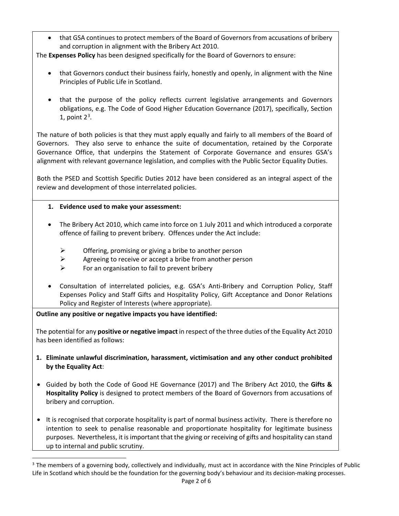• that GSA continues to protect members of the Board of Governors from accusations of bribery and corruption in alignment with the Bribery Act 2010.

The **Expenses Policy** has been designed specifically for the Board of Governors to ensure:

- that Governors conduct their business fairly, honestly and openly, in alignment with the Nine Principles of Public Life in Scotland.
- that the purpose of the policy reflects current legislative arrangements and Governors obligations, e.g. The Code of Good Higher Education Governance (2017), specifically, Section 1, point  $2<sup>3</sup>$  $2<sup>3</sup>$  $2<sup>3</sup>$ .

The nature of both policies is that they must apply equally and fairly to all members of the Board of Governors. They also serve to enhance the suite of documentation, retained by the Corporate Governance Office, that underpins the Statement of Corporate Governance and ensures GSA's alignment with relevant governance legislation, and complies with the Public Sector Equality Duties.

Both the PSED and Scottish Specific Duties 2012 have been considered as an integral aspect of the review and development of those interrelated policies.

- **1. Evidence used to make your assessment:**
- The Bribery Act 2010, which came into force on 1 July 2011 and which introduced a corporate offence of failing to prevent bribery. Offences under the Act include:
	- $\triangleright$  Offering, promising or giving a bribe to another person
	- $\triangleright$  Agreeing to receive or accept a bribe from another person
	- $\triangleright$  For an organisation to fail to prevent bribery
- Consultation of interrelated policies, e.g. GSA's Anti-Bribery and Corruption Policy, Staff Expenses Policy and Staff Gifts and Hospitality Policy, Gift Acceptance and Donor Relations Policy and Register of Interests (where appropriate).

# **Outline any positive or negative impacts you have identified:**

j

The potential for any **positive or negative impact** in respect of the three duties of the Equality Act 2010 has been identified as follows:

- **1. Eliminate unlawful discrimination, harassment, victimisation and any other conduct prohibited by the Equality Act**:
- Guided by both the Code of Good HE Governance (2017) and The Bribery Act 2010, the **Gifts & Hospitality Policy** is designed to protect members of the Board of Governors from accusations of bribery and corruption.
- It is recognised that corporate hospitality is part of normal business activity. There is therefore no intention to seek to penalise reasonable and proportionate hospitality for legitimate business purposes. Nevertheless, it is important that the giving or receiving of gifts and hospitality can stand up to internal and public scrutiny.

<span id="page-1-0"></span><sup>&</sup>lt;sup>3</sup> The members of a governing body, collectively and individually, must act in accordance with the Nine Principles of Public Life in Scotland which should be the foundation for the governing body's behaviour and its decision-making processes.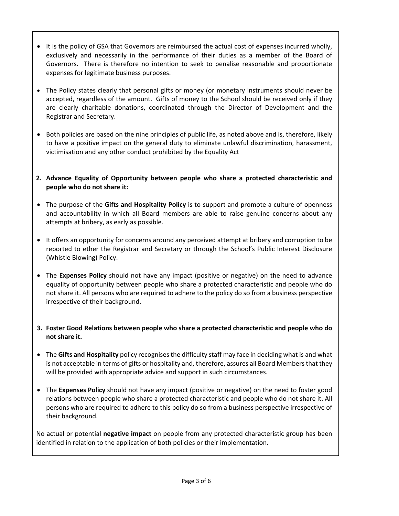- It is the policy of GSA that Governors are reimbursed the actual cost of expenses incurred wholly, exclusively and necessarily in the performance of their duties as a member of the Board of Governors. There is therefore no intention to seek to penalise reasonable and proportionate expenses for legitimate business purposes.
- The Policy states clearly that personal gifts or money (or monetary instruments should never be accepted, regardless of the amount. Gifts of money to the School should be received only if they are clearly charitable donations, coordinated through the Director of Development and the Registrar and Secretary.
- Both policies are based on the nine principles of public life, as noted above and is, therefore, likely to have a positive impact on the general duty to eliminate unlawful discrimination, harassment, victimisation and any other conduct prohibited by the Equality Act
- **2. Advance Equality of Opportunity between people who share a protected characteristic and people who do not share it:**
- The purpose of the **Gifts and Hospitality Policy** is to support and promote a culture of openness and accountability in which all Board members are able to raise genuine concerns about any attempts at bribery, as early as possible.
- It offers an opportunity for concerns around any perceived attempt at bribery and corruption to be reported to ether the Registrar and Secretary or through the School's Public Interest Disclosure (Whistle Blowing) Policy.
- The **Expenses Policy** should not have any impact (positive or negative) on the need to advance equality of opportunity between people who share a protected characteristic and people who do not share it. All persons who are required to adhere to the policy do so from a business perspective irrespective of their background.
- **3. Foster Good Relations between people who share a protected characteristic and people who do not share it.**
- The **Gifts and Hospitality** policy recognises the difficulty staff may face in deciding what is and what is not acceptable in terms of gifts or hospitality and, therefore, assures all Board Members that they will be provided with appropriate advice and support in such circumstances.
- The **Expenses Policy** should not have any impact (positive or negative) on the need to foster good relations between people who share a protected characteristic and people who do not share it. All persons who are required to adhere to this policy do so from a business perspective irrespective of their background.

No actual or potential **negative impact** on people from any protected characteristic group has been identified in relation to the application of both policies or their implementation.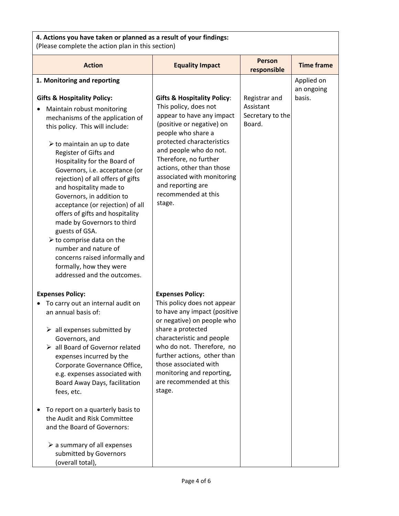# **4. Actions you have taken or planned as a result of your findings:**

(Please complete the action plan in this section)

| <b>Action</b>                                                                                                                                                                                                                                                                                                                                                                                                                                                                                                                                                                                                                                                            | <b>Equality Impact</b>                                                                                                                                                                                                                                                                                                                           | <b>Person</b><br>responsible                             | <b>Time frame</b>        |
|--------------------------------------------------------------------------------------------------------------------------------------------------------------------------------------------------------------------------------------------------------------------------------------------------------------------------------------------------------------------------------------------------------------------------------------------------------------------------------------------------------------------------------------------------------------------------------------------------------------------------------------------------------------------------|--------------------------------------------------------------------------------------------------------------------------------------------------------------------------------------------------------------------------------------------------------------------------------------------------------------------------------------------------|----------------------------------------------------------|--------------------------|
| 1. Monitoring and reporting                                                                                                                                                                                                                                                                                                                                                                                                                                                                                                                                                                                                                                              |                                                                                                                                                                                                                                                                                                                                                  |                                                          | Applied on<br>an ongoing |
| <b>Gifts &amp; Hospitality Policy:</b><br>Maintain robust monitoring<br>mechanisms of the application of<br>this policy. This will include:<br>$\triangleright$ to maintain an up to date<br>Register of Gifts and<br>Hospitality for the Board of<br>Governors, i.e. acceptance (or<br>rejection) of all offers of gifts<br>and hospitality made to<br>Governors, in addition to<br>acceptance (or rejection) of all<br>offers of gifts and hospitality<br>made by Governors to third<br>guests of GSA.<br>$\triangleright$ to comprise data on the<br>number and nature of<br>concerns raised informally and<br>formally, how they were<br>addressed and the outcomes. | <b>Gifts &amp; Hospitality Policy:</b><br>This policy, does not<br>appear to have any impact<br>(positive or negative) on<br>people who share a<br>protected characteristics<br>and people who do not.<br>Therefore, no further<br>actions, other than those<br>associated with monitoring<br>and reporting are<br>recommended at this<br>stage. | Registrar and<br>Assistant<br>Secretary to the<br>Board. | basis.                   |
| <b>Expenses Policy:</b><br>To carry out an internal audit on<br>an annual basis of:<br>$\triangleright$ all expenses submitted by<br>Governors, and<br>all Board of Governor related<br>expenses incurred by the<br>Corporate Governance Office,<br>e.g. expenses associated with<br>Board Away Days, facilitation<br>fees, etc.<br>To report on a quarterly basis to<br>the Audit and Risk Committee                                                                                                                                                                                                                                                                    | <b>Expenses Policy:</b><br>This policy does not appear<br>to have any impact (positive<br>or negative) on people who<br>share a protected<br>characteristic and people<br>who do not. Therefore, no<br>further actions, other than<br>those associated with<br>monitoring and reporting,<br>are recommended at this<br>stage.                    |                                                          |                          |
| and the Board of Governors:<br>$\triangleright$ a summary of all expenses<br>submitted by Governors<br>(overall total),                                                                                                                                                                                                                                                                                                                                                                                                                                                                                                                                                  |                                                                                                                                                                                                                                                                                                                                                  |                                                          |                          |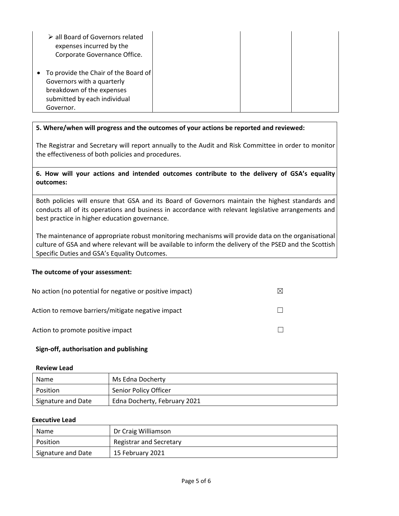| > all Board of Governors related<br>expenses incurred by the<br>Corporate Governance Office.                                                   |  |  |
|------------------------------------------------------------------------------------------------------------------------------------------------|--|--|
| • To provide the Chair of the Board of<br>Governors with a quarterly<br>breakdown of the expenses<br>submitted by each individual<br>Governor. |  |  |

## **5. Where/when will progress and the outcomes of your actions be reported and reviewed:**

The Registrar and Secretary will report annually to the Audit and Risk Committee in order to monitor the effectiveness of both policies and procedures.

## **6. How will your actions and intended outcomes contribute to the delivery of GSA's equality outcomes:**

Both policies will ensure that GSA and its Board of Governors maintain the highest standards and conducts all of its operations and business in accordance with relevant legislative arrangements and best practice in higher education governance.

The maintenance of appropriate robust monitoring mechanisms will provide data on the organisational culture of GSA and where relevant will be available to inform the delivery of the PSED and the Scottish Specific Duties and GSA's Equality Outcomes.

#### **The outcome of your assessment:**

| No action (no potential for negative or positive impact) |  |
|----------------------------------------------------------|--|
| Action to remove barriers/mitigate negative impact       |  |
| Action to promote positive impact                        |  |

#### **Sign-off, authorisation and publishing**

#### **Review Lead**

| Name               | Ms Edna Docherty             |
|--------------------|------------------------------|
| Position           | Senior Policy Officer        |
| Signature and Date | Edna Docherty, February 2021 |

#### **Executive Lead**

| Name               | Dr Craig Williamson     |
|--------------------|-------------------------|
| Position           | Registrar and Secretary |
| Signature and Date | 15 February 2021        |